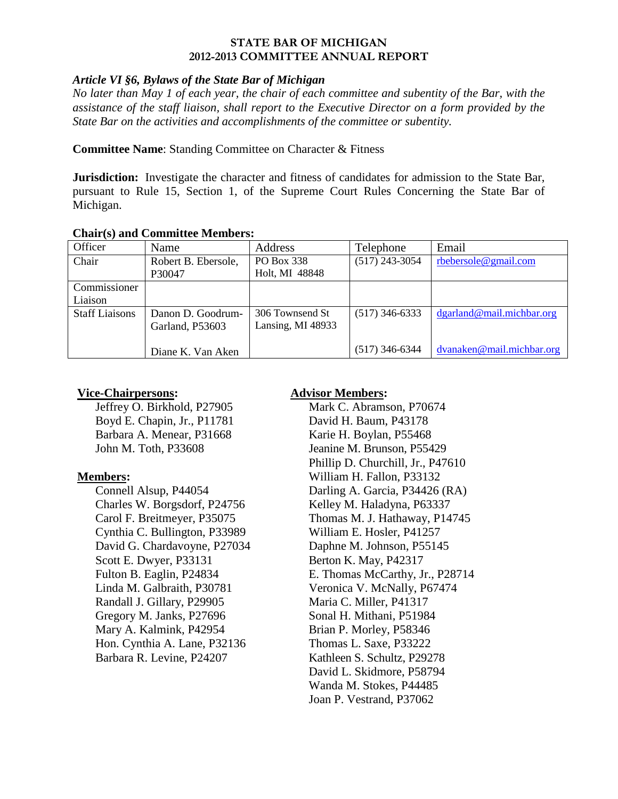#### **STATE BAR OF MICHIGAN 2012-2013 COMMITTEE ANNUAL REPORT**

## *Article VI §6, Bylaws of the State Bar of Michigan*

*No later than May 1 of each year, the chair of each committee and subentity of the Bar, with the assistance of the staff liaison, shall report to the Executive Director on a form provided by the State Bar on the activities and accomplishments of the committee or subentity.* 

## **Committee Name**: Standing Committee on Character & Fitness

**Jurisdiction:** Investigate the character and fitness of candidates for admission to the State Bar, pursuant to Rule 15, Section 1, of the Supreme Court Rules Concerning the State Bar of Michigan.

| Chan (5) and Committee Members. |                     |                   |                  |                           |
|---------------------------------|---------------------|-------------------|------------------|---------------------------|
| Officer                         | Name                | Address           | Telephone        | Email                     |
| Chair                           | Robert B. Ebersole, | PO Box 338        | $(517)$ 243-3054 | rbebersole@gmail.com      |
|                                 | P30047              | Holt, MI 48848    |                  |                           |
| Commissioner                    |                     |                   |                  |                           |
| Liaison                         |                     |                   |                  |                           |
| <b>Staff Liaisons</b>           | Danon D. Goodrum-   | 306 Townsend St   | $(517)$ 346-6333 | dgarland@mail.michbar.org |
|                                 | Garland, P53603     | Lansing, MI 48933 |                  |                           |
|                                 |                     |                   |                  |                           |
|                                 | Diane K. Van Aken   |                   | $(517)$ 346-6344 | dvanaken@mail.michbar.org |

## **Chair(s) and Committee Members:**

# **Vice-Chairpersons:**

Jeffrey O. Birkhold, P27905 Boyd E. Chapin, Jr., P11781 Barbara A. Menear, P31668 John M. Toth, P33608

# **Members:**

Connell Alsup, P44054 Charles W. Borgsdorf, P24756 Carol F. Breitmeyer, P35075 Cynthia C. Bullington, P33989 David G. Chardavoyne, P27034 Scott E. Dwyer, P33131 Fulton B. Eaglin, P24834 Linda M. Galbraith, P30781 Randall J. Gillary, P29905 Gregory M. Janks, P27696 Mary A. Kalmink, P42954 Hon. Cynthia A. Lane, P32136 Barbara R. Levine, P24207

# **Advisor Members:**

Mark C. Abramson, P70674 David H. Baum, P43178 Karie H. Boylan, P55468 Jeanine M. Brunson, P55429 Phillip D. Churchill, Jr., P47610 William H. Fallon, P33132 Darling A. Garcia, P34426 (RA) Kelley M. Haladyna, P63337 Thomas M. J. Hathaway, P14745 William E. Hosler, P41257 Daphne M. Johnson, P55145 Berton K. May, P42317 E. Thomas McCarthy, Jr., P28714 Veronica V. McNally, P67474 Maria C. Miller, P41317 Sonal H. Mithani, P51984 Brian P. Morley, P58346 Thomas L. Saxe, P33222 Kathleen S. Schultz, P29278 David L. Skidmore, P58794 Wanda M. Stokes, P44485 Joan P. Vestrand, P37062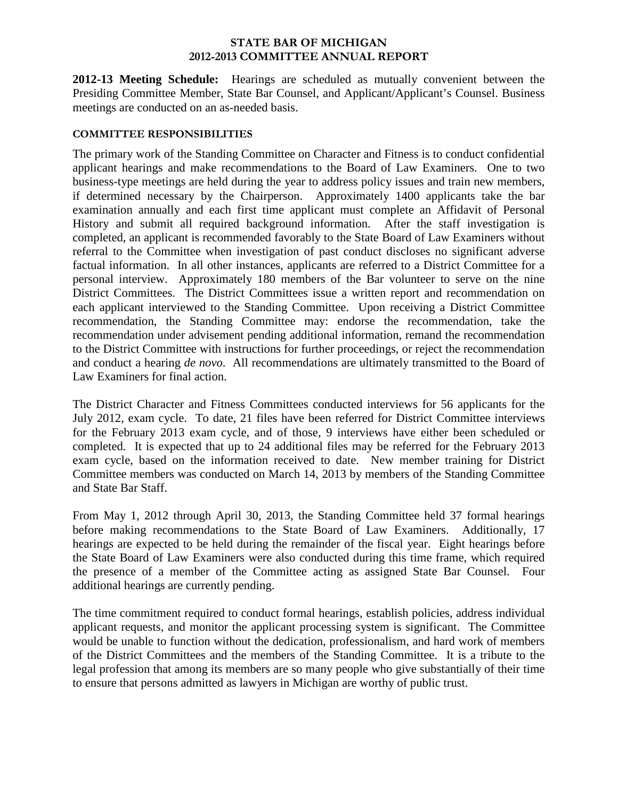#### **STATE BAR OF MICHIGAN 2012-2013 COMMITTEE ANNUAL REPORT**

**2012-13 Meeting Schedule:**Hearings are scheduled as mutually convenient between the Presiding Committee Member, State Bar Counsel, and Applicant/Applicant's Counsel. Business meetings are conducted on an as-needed basis.

## **COMMITTEE RESPONSIBILITIES**

The primary work of the Standing Committee on Character and Fitness is to conduct confidential applicant hearings and make recommendations to the Board of Law Examiners. One to two business-type meetings are held during the year to address policy issues and train new members, if determined necessary by the Chairperson. Approximately 1400 applicants take the bar examination annually and each first time applicant must complete an Affidavit of Personal History and submit all required background information. After the staff investigation is completed, an applicant is recommended favorably to the State Board of Law Examiners without referral to the Committee when investigation of past conduct discloses no significant adverse factual information. In all other instances, applicants are referred to a District Committee for a personal interview. Approximately 180 members of the Bar volunteer to serve on the nine District Committees. The District Committees issue a written report and recommendation on each applicant interviewed to the Standing Committee. Upon receiving a District Committee recommendation, the Standing Committee may: endorse the recommendation, take the recommendation under advisement pending additional information, remand the recommendation to the District Committee with instructions for further proceedings, or reject the recommendation and conduct a hearing *de novo*. All recommendations are ultimately transmitted to the Board of Law Examiners for final action.

The District Character and Fitness Committees conducted interviews for 56 applicants for the July 2012, exam cycle. To date, 21 files have been referred for District Committee interviews for the February 2013 exam cycle, and of those, 9 interviews have either been scheduled or completed. It is expected that up to 24 additional files may be referred for the February 2013 exam cycle, based on the information received to date. New member training for District Committee members was conducted on March 14, 2013 by members of the Standing Committee and State Bar Staff.

From May 1, 2012 through April 30, 2013, the Standing Committee held 37 formal hearings before making recommendations to the State Board of Law Examiners. Additionally, 17 hearings are expected to be held during the remainder of the fiscal year. Eight hearings before the State Board of Law Examiners were also conducted during this time frame, which required the presence of a member of the Committee acting as assigned State Bar Counsel. Four additional hearings are currently pending.

The time commitment required to conduct formal hearings, establish policies, address individual applicant requests, and monitor the applicant processing system is significant. The Committee would be unable to function without the dedication, professionalism, and hard work of members of the District Committees and the members of the Standing Committee. It is a tribute to the legal profession that among its members are so many people who give substantially of their time to ensure that persons admitted as lawyers in Michigan are worthy of public trust.